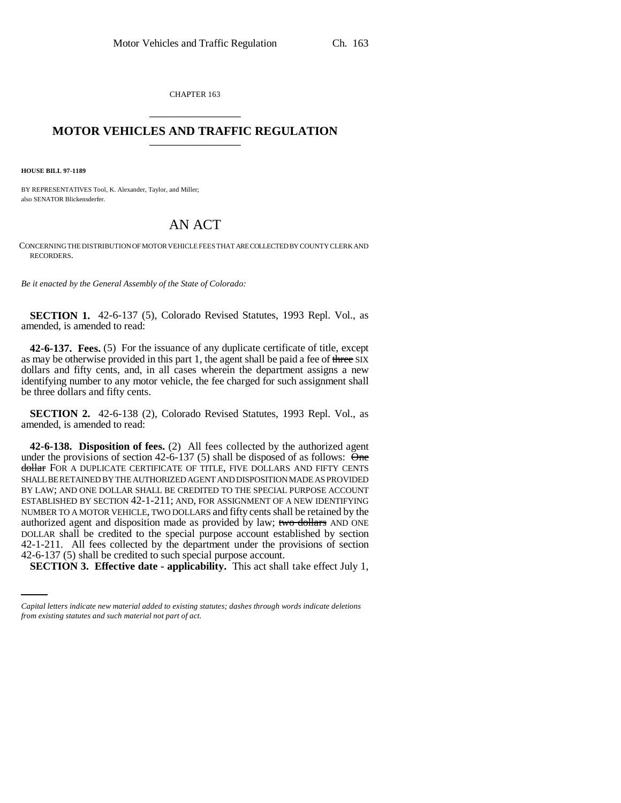CHAPTER 163 \_\_\_\_\_\_\_\_\_\_\_\_\_\_\_

## **MOTOR VEHICLES AND TRAFFIC REGULATION** \_\_\_\_\_\_\_\_\_\_\_\_\_\_\_

**HOUSE BILL 97-1189**

BY REPRESENTATIVES Tool, K. Alexander, Taylor, and Miller; also SENATOR Blickensderfer.

## AN ACT

CONCERNING THE DISTRIBUTION OF MOTOR VEHICLE FEES THAT ARE COLLECTED BY COUNTY CLERK AND RECORDERS.

*Be it enacted by the General Assembly of the State of Colorado:*

**SECTION 1.** 42-6-137 (5), Colorado Revised Statutes, 1993 Repl. Vol., as amended, is amended to read:

**42-6-137. Fees.** (5) For the issuance of any duplicate certificate of title, except as may be otherwise provided in this part 1, the agent shall be paid a fee of three SIX dollars and fifty cents, and, in all cases wherein the department assigns a new identifying number to any motor vehicle, the fee charged for such assignment shall be three dollars and fifty cents.

**SECTION 2.** 42-6-138 (2), Colorado Revised Statutes, 1993 Repl. Vol., as amended, is amended to read:

42-1-211. All fees collected by the department under the provisions of section **42-6-138. Disposition of fees.** (2) All fees collected by the authorized agent under the provisions of section 42-6-137 (5) shall be disposed of as follows:  $\Theta$ me dollar FOR A DUPLICATE CERTIFICATE OF TITLE, FIVE DOLLARS AND FIFTY CENTS SHALL BE RETAINED BY THE AUTHORIZED AGENT AND DISPOSITION MADE AS PROVIDED BY LAW; AND ONE DOLLAR SHALL BE CREDITED TO THE SPECIAL PURPOSE ACCOUNT ESTABLISHED BY SECTION 42-1-211; AND, FOR ASSIGNMENT OF A NEW IDENTIFYING NUMBER TO A MOTOR VEHICLE, TWO DOLLARS and fifty cents shall be retained by the authorized agent and disposition made as provided by law; two dollars AND ONE DOLLAR shall be credited to the special purpose account established by section 42-6-137 (5) shall be credited to such special purpose account.

**SECTION 3. Effective date - applicability.** This act shall take effect July 1,

*Capital letters indicate new material added to existing statutes; dashes through words indicate deletions from existing statutes and such material not part of act.*